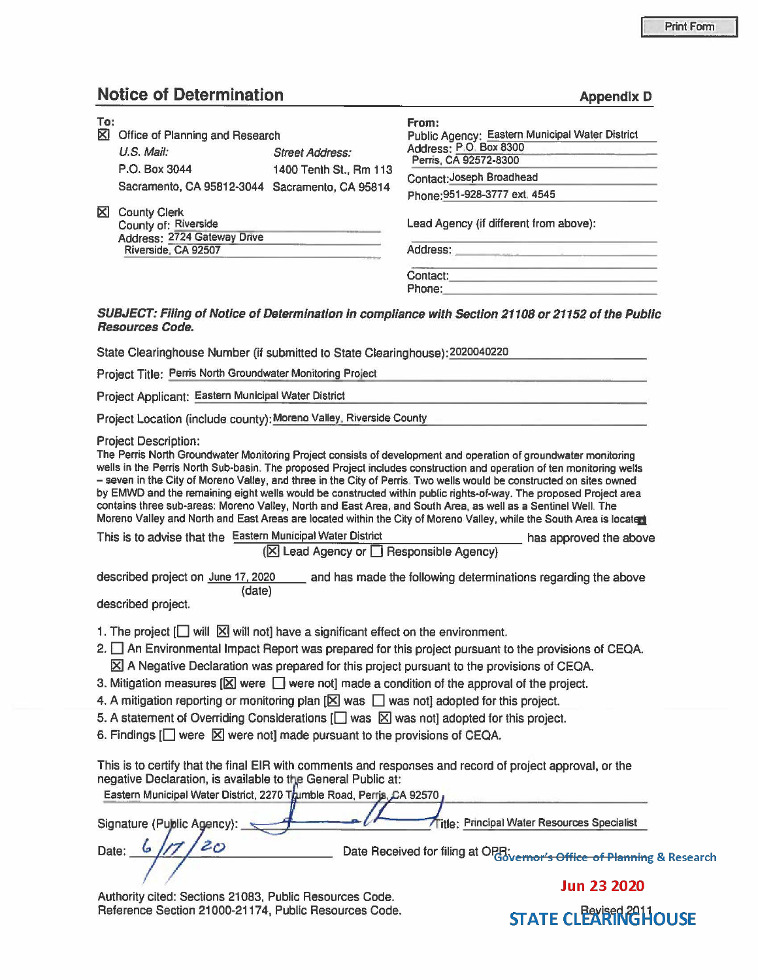## **Notice of Determination Appendix D Appendix D**

| To:                                                                                                                                  |                                                                           | From:                                                                                                                                                                                                                                                                                                                                                                                                                                                                                                                                                                                                                                                                                                                          |
|--------------------------------------------------------------------------------------------------------------------------------------|---------------------------------------------------------------------------|--------------------------------------------------------------------------------------------------------------------------------------------------------------------------------------------------------------------------------------------------------------------------------------------------------------------------------------------------------------------------------------------------------------------------------------------------------------------------------------------------------------------------------------------------------------------------------------------------------------------------------------------------------------------------------------------------------------------------------|
| <b>⊠</b> Office of Planning and Research                                                                                             | Public Agency: Eastern Municipal Water District<br>Address: P.O. Box 8300 |                                                                                                                                                                                                                                                                                                                                                                                                                                                                                                                                                                                                                                                                                                                                |
| U.S. Mail:                                                                                                                           | <b>Street Address:</b>                                                    | Perris, CA 92572-8300                                                                                                                                                                                                                                                                                                                                                                                                                                                                                                                                                                                                                                                                                                          |
| P.O. Box 3044                                                                                                                        | 1400 Tenth St., Rm 113                                                    | Contact: Joseph Broadhead                                                                                                                                                                                                                                                                                                                                                                                                                                                                                                                                                                                                                                                                                                      |
| Sacramento, CA 95812-3044 Sacramento, CA 95814                                                                                       |                                                                           | Phone: 951-928-3777 ext. 4545                                                                                                                                                                                                                                                                                                                                                                                                                                                                                                                                                                                                                                                                                                  |
| <b>X</b> County Clerk<br>County of: Riverside                                                                                        |                                                                           | Lead Agency (if different from above):                                                                                                                                                                                                                                                                                                                                                                                                                                                                                                                                                                                                                                                                                         |
| Address: 2724 Gateway Drive<br>Riverside, CA 92507                                                                                   |                                                                           |                                                                                                                                                                                                                                                                                                                                                                                                                                                                                                                                                                                                                                                                                                                                |
|                                                                                                                                      |                                                                           |                                                                                                                                                                                                                                                                                                                                                                                                                                                                                                                                                                                                                                                                                                                                |
|                                                                                                                                      |                                                                           | Phone: The contract of the contract of the contract of the contract of the contract of the contract of the contract of the contract of the contract of the contract of the contract of the contract of the contract of the con                                                                                                                                                                                                                                                                                                                                                                                                                                                                                                 |
| <b>Resources Code.</b>                                                                                                               |                                                                           | SUBJECT: Filing of Notice of Determination in compliance with Section 21108 or 21152 of the Public                                                                                                                                                                                                                                                                                                                                                                                                                                                                                                                                                                                                                             |
| State Clearinghouse Number (if submitted to State Clearinghouse): 2020040220                                                         |                                                                           |                                                                                                                                                                                                                                                                                                                                                                                                                                                                                                                                                                                                                                                                                                                                |
| Project Title: Perris North Groundwater Monitoring Project                                                                           |                                                                           | <u> 1990 - Algebra Hermitzki, ma</u>                                                                                                                                                                                                                                                                                                                                                                                                                                                                                                                                                                                                                                                                                           |
| Project Applicant: Eastern Municipal Water District                                                                                  |                                                                           |                                                                                                                                                                                                                                                                                                                                                                                                                                                                                                                                                                                                                                                                                                                                |
| Project Location (include county); Moreno Valley, Riverside County                                                                   |                                                                           |                                                                                                                                                                                                                                                                                                                                                                                                                                                                                                                                                                                                                                                                                                                                |
|                                                                                                                                      |                                                                           | The Perris North Groundwater Monitoring Project consists of development and operation of groundwater monitoring<br>wells in the Perris North Sub-basin. The proposed Project includes construction and operation of ten monitoring wells<br>- seven in the City of Moreno Valley, and three in the City of Perris. Two wells would be constructed on sites owned<br>by EMWD and the remaining eight wells would be constructed within public rights-of-way. The proposed Project area<br>contains three sub-areas: Moreno Valley, North and East Area, and South Area, as well as a Sentinel Well. The<br>Moreno Valley and North and East Areas are located within the City of Moreno Valley, while the South Area is located |
| This is to advise that the Eastern Municipal Water District                                                                          |                                                                           | has approved the above                                                                                                                                                                                                                                                                                                                                                                                                                                                                                                                                                                                                                                                                                                         |
|                                                                                                                                      | (⊠ Lead Agency or □ Responsible Agency)                                   |                                                                                                                                                                                                                                                                                                                                                                                                                                                                                                                                                                                                                                                                                                                                |
| (date)                                                                                                                               |                                                                           | described project on June 17, 2020 ______ and has made the following determinations regarding the above                                                                                                                                                                                                                                                                                                                                                                                                                                                                                                                                                                                                                        |
| described project.                                                                                                                   |                                                                           |                                                                                                                                                                                                                                                                                                                                                                                                                                                                                                                                                                                                                                                                                                                                |
| 1. The project $\Box$ will $\boxtimes$ will not] have a significant effect on the environment.                                       |                                                                           |                                                                                                                                                                                                                                                                                                                                                                                                                                                                                                                                                                                                                                                                                                                                |
|                                                                                                                                      |                                                                           | 2. An Environmental Impact Report was prepared for this project pursuant to the provisions of CEQA.                                                                                                                                                                                                                                                                                                                                                                                                                                                                                                                                                                                                                            |
|                                                                                                                                      |                                                                           | $\boxtimes$ A Negative Declaration was prepared for this project pursuant to the provisions of CEQA.                                                                                                                                                                                                                                                                                                                                                                                                                                                                                                                                                                                                                           |
|                                                                                                                                      |                                                                           | 3. Mitigation measures $[\times]$ were $\Box$ were not] made a condition of the approval of the project.                                                                                                                                                                                                                                                                                                                                                                                                                                                                                                                                                                                                                       |
| 4. A mitigation reporting or monitoring plan $[\boxtimes]$ was $\Box$ was not] adopted for this project.                             |                                                                           |                                                                                                                                                                                                                                                                                                                                                                                                                                                                                                                                                                                                                                                                                                                                |
|                                                                                                                                      |                                                                           | 5. A statement of Overriding Considerations [ ] was $\boxtimes$ was not] adopted for this project.                                                                                                                                                                                                                                                                                                                                                                                                                                                                                                                                                                                                                             |
| 6. Findings $\Box$ were $\boxtimes$ were not] made pursuant to the provisions of CEQA.                                               |                                                                           |                                                                                                                                                                                                                                                                                                                                                                                                                                                                                                                                                                                                                                                                                                                                |
| negative Declaration, is available to the General Public at:<br>Eastern Municipal Water District, 2270 Tumble Road, Perris, CA 92570 |                                                                           | This is to certify that the final EIR with comments and responses and record of project approval, or the                                                                                                                                                                                                                                                                                                                                                                                                                                                                                                                                                                                                                       |
| Signature (Public Agency):                                                                                                           |                                                                           | Title: Principal Water Resources Specialist                                                                                                                                                                                                                                                                                                                                                                                                                                                                                                                                                                                                                                                                                    |
| Date:                                                                                                                                |                                                                           | Date Received for filing at OPR;<br>Office of Planning & Research                                                                                                                                                                                                                                                                                                                                                                                                                                                                                                                                                                                                                                                              |
|                                                                                                                                      |                                                                           | <b>Jun 23 2020</b>                                                                                                                                                                                                                                                                                                                                                                                                                                                                                                                                                                                                                                                                                                             |
| Authority cited: Sections 21083, Public Resources Code.                                                                              |                                                                           |                                                                                                                                                                                                                                                                                                                                                                                                                                                                                                                                                                                                                                                                                                                                |

Reference Section 21000-21174, Public Resources Code. STATE CLEARINGHOUSE